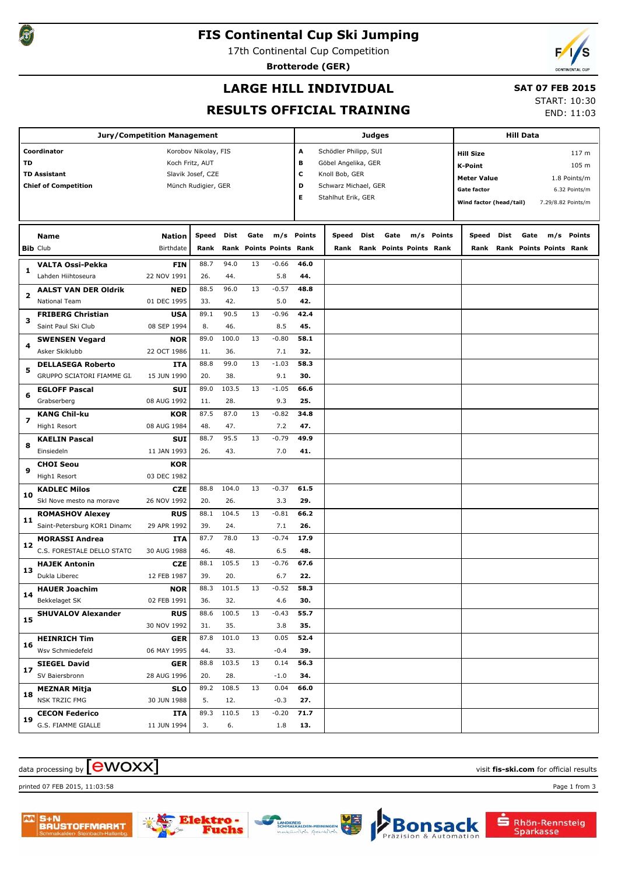

## **FIS Continental Cup Ski Jumping**

17th Continental Cup Competition

**Brotterode (GER)**



## **LARGE HILL INDIVIDUAL**

### **SAT 07 FEB 2015**

## **RESULTS OFFICIAL TRAINING**

START: 10:30

END: 11:03

| Jury/Competition Management                                                                              |                                                     |                            |                      |              |      |                           |                                                                     |                                            |      |                                 | <b>Hill Data</b> |            |                                                                     |      |      |                                |                                                     |
|----------------------------------------------------------------------------------------------------------|-----------------------------------------------------|----------------------------|----------------------|--------------|------|---------------------------|---------------------------------------------------------------------|--------------------------------------------|------|---------------------------------|------------------|------------|---------------------------------------------------------------------|------|------|--------------------------------|-----------------------------------------------------|
| Coordinator<br>Korobov Nikolay, FIS<br>TD<br>Koch Fritz, AUT<br><b>TD Assistant</b><br>Slavik Josef, CZE |                                                     |                            |                      |              |      | Α<br>в                    | Schödler Philipp, SUI<br>Göbel Angelika, GER<br>с<br>Knoll Bob, GER |                                            |      |                                 |                  |            | 117 <sub>m</sub><br><b>Hill Size</b><br>105 m<br><b>K-Point</b>     |      |      |                                |                                                     |
|                                                                                                          | <b>Chief of Competition</b>                         |                            | Münch Rudigier, GER  |              |      |                           | D<br>Е                                                              | Schwarz Michael, GER<br>Stahlhut Erik, GER |      |                                 |                  |            | <b>Meter Value</b><br><b>Gate factor</b><br>Wind factor (head/tail) |      |      |                                | 1.8 Points/m<br>6.32 Points/m<br>7.29/8.82 Points/m |
|                                                                                                          | Name<br><b>Bib Club</b>                             | <b>Nation</b><br>Birthdate | <b>Speed</b><br>Rank | Dist<br>Rank | Gate | <b>Points Points Rank</b> | m/s Points                                                          | Speed<br>Rank                              | Dist | Gate<br>Rank Points Points Rank |                  | m/s Points | Speed<br>Rank                                                       | Dist | Gate | m/s<br>Rank Points Points Rank | <b>Points</b>                                       |
| 1                                                                                                        | <b>VALTA Ossi-Pekka</b>                             | <b>FIN</b>                 | 88.7                 | 94.0         | 13   | $-0.66$                   | 46.0                                                                |                                            |      |                                 |                  |            |                                                                     |      |      |                                |                                                     |
|                                                                                                          | Lahden Hiihtoseura                                  | 22 NOV 1991                | 26.                  | 44.          |      | 5.8                       | 44.                                                                 |                                            |      |                                 |                  |            |                                                                     |      |      |                                |                                                     |
| 2                                                                                                        | <b>AALST VAN DER Oldrik</b><br><b>National Team</b> | <b>NED</b><br>01 DEC 1995  | 88.5<br>33.          | 96.0         | 13   | $-0.57$                   | 48.8<br>42.                                                         |                                            |      |                                 |                  |            |                                                                     |      |      |                                |                                                     |
|                                                                                                          | <b>FRIBERG Christian</b>                            | <b>USA</b>                 | 89.1                 | 42.<br>90.5  | 13   | 5.0<br>$-0.96$            | 42.4                                                                |                                            |      |                                 |                  |            |                                                                     |      |      |                                |                                                     |
| 3                                                                                                        | Saint Paul Ski Club                                 | 08 SEP 1994                | 8.                   | 46.          |      | 8.5                       | 45.                                                                 |                                            |      |                                 |                  |            |                                                                     |      |      |                                |                                                     |
|                                                                                                          | <b>SWENSEN Vegard</b>                               | <b>NOR</b>                 | 89.0                 | 100.0        | 13   | $-0.80$                   | 58.1                                                                |                                            |      |                                 |                  |            |                                                                     |      |      |                                |                                                     |
| 4                                                                                                        | Asker Skiklubb                                      | 22 OCT 1986                | 11.                  | 36.          |      | 7.1                       | 32.                                                                 |                                            |      |                                 |                  |            |                                                                     |      |      |                                |                                                     |
| 5                                                                                                        | <b>DELLASEGA Roberto</b>                            | ITA                        | 88.8                 | 99.0         | 13   | $-1.03$                   | 58.3                                                                |                                            |      |                                 |                  |            |                                                                     |      |      |                                |                                                     |
|                                                                                                          | GRUPPO SCIATORI FIAMME GI.                          | 15 JUN 1990                | 20.                  | 38.          |      | 9.1                       | 30.                                                                 |                                            |      |                                 |                  |            |                                                                     |      |      |                                |                                                     |
| 6                                                                                                        | <b>EGLOFF Pascal</b>                                | <b>SUI</b><br>08 AUG 1992  | 89.0<br>11.          | 103.5        | 13   | $-1.05$                   | 66.6<br>25.                                                         |                                            |      |                                 |                  |            |                                                                     |      |      |                                |                                                     |
|                                                                                                          | Grabserberg<br><b>KANG Chil-ku</b>                  | <b>KOR</b>                 | 87.5                 | 28.<br>87.0  | 13   | 9.3<br>$-0.82$            | 34.8                                                                |                                            |      |                                 |                  |            |                                                                     |      |      |                                |                                                     |
| 7                                                                                                        | High1 Resort                                        | 08 AUG 1984                | 48.                  | 47.          |      | 7.2                       | 47.                                                                 |                                            |      |                                 |                  |            |                                                                     |      |      |                                |                                                     |
|                                                                                                          | <b>KAELIN Pascal</b>                                | <b>SUI</b>                 | 88.7                 | 95.5         | 13   | $-0.79$                   | 49.9                                                                |                                            |      |                                 |                  |            |                                                                     |      |      |                                |                                                     |
| 8                                                                                                        | Einsiedeln                                          | 11 JAN 1993                | 26.                  | 43.          |      | 7.0                       | 41.                                                                 |                                            |      |                                 |                  |            |                                                                     |      |      |                                |                                                     |
| 9                                                                                                        | <b>CHOI Seou</b>                                    | <b>KOR</b>                 |                      |              |      |                           |                                                                     |                                            |      |                                 |                  |            |                                                                     |      |      |                                |                                                     |
|                                                                                                          | High1 Resort                                        | 03 DEC 1982                |                      |              |      |                           |                                                                     |                                            |      |                                 |                  |            |                                                                     |      |      |                                |                                                     |
| 10                                                                                                       | <b>KADLEC Milos</b>                                 | <b>CZE</b>                 | 88.8                 | 104.0        | 13   | $-0.37$                   | 61.5                                                                |                                            |      |                                 |                  |            |                                                                     |      |      |                                |                                                     |
|                                                                                                          | Skl Nove mesto na morave                            | 26 NOV 1992                | 20.                  | 26.          |      | 3.3                       | 29.                                                                 |                                            |      |                                 |                  |            |                                                                     |      |      |                                |                                                     |
| 11                                                                                                       | <b>ROMASHOV Alexey</b>                              | <b>RUS</b>                 | 88.1                 | 104.5        | 13   | $-0.81$                   | 66.2                                                                |                                            |      |                                 |                  |            |                                                                     |      |      |                                |                                                     |
|                                                                                                          | Saint-Petersburg KOR1 Dinamo                        | 29 APR 1992<br>ITA         | 39.<br>87.7          | 24.<br>78.0  | 13   | 7.1<br>$-0.74$            | 26.<br>17.9                                                         |                                            |      |                                 |                  |            |                                                                     |      |      |                                |                                                     |
| 12                                                                                                       | <b>MORASSI Andrea</b><br>C.S. FORESTALE DELLO STATO | 30 AUG 1988                | 46.                  | 48.          |      | 6.5                       | 48.                                                                 |                                            |      |                                 |                  |            |                                                                     |      |      |                                |                                                     |
|                                                                                                          | <b>HAJEK Antonin</b>                                | <b>CZE</b>                 | 88.1                 | 105.5        | 13   | $-0.76$                   | 67.6                                                                |                                            |      |                                 |                  |            |                                                                     |      |      |                                |                                                     |
| 13                                                                                                       | Dukla Liberec                                       | 12 FEB 1987                | 39.                  | 20.          |      | 6.7                       | 22.                                                                 |                                            |      |                                 |                  |            |                                                                     |      |      |                                |                                                     |
| 14                                                                                                       | <b>HAUER Joachim</b>                                | <b>NOR</b>                 | 88.3                 | 101.5        | 13   | $-0.52$                   | 58.3                                                                |                                            |      |                                 |                  |            |                                                                     |      |      |                                |                                                     |
|                                                                                                          | Bekkelaget SK                                       | 02 FEB 1991                | 36.                  | 32.          |      | 4.6                       | 30.                                                                 |                                            |      |                                 |                  |            |                                                                     |      |      |                                |                                                     |
| 15                                                                                                       | <b>SHUVALOV Alexander</b>                           | <b>RUS</b><br>30 NOV 1992  | 88.6<br>31.          | 100.5<br>35. | 13   | $-0.43$<br>3.8            | 55.7<br>35.                                                         |                                            |      |                                 |                  |            |                                                                     |      |      |                                |                                                     |
|                                                                                                          | <b>HEINRICH Tim</b>                                 | <b>GER</b>                 | 87.8                 | 101.0        | 13   | 0.05                      | 52.4                                                                |                                            |      |                                 |                  |            |                                                                     |      |      |                                |                                                     |
| 16                                                                                                       | Wsv Schmiedefeld                                    | 06 MAY 1995                | 44.                  | 33.          |      | $-0.4$                    | 39.                                                                 |                                            |      |                                 |                  |            |                                                                     |      |      |                                |                                                     |
| 17                                                                                                       | <b>SIEGEL David</b>                                 | <b>GER</b>                 | 88.8                 | 103.5        | 13   | 0.14                      | 56.3                                                                |                                            |      |                                 |                  |            |                                                                     |      |      |                                |                                                     |
|                                                                                                          | SV Baiersbronn                                      | 28 AUG 1996                | 20.                  | 28.          |      | $-1.0$                    | 34.                                                                 |                                            |      |                                 |                  |            |                                                                     |      |      |                                |                                                     |
| 18                                                                                                       | <b>MEZNAR Mitja</b>                                 | <b>SLO</b>                 | 89.2                 | 108.5        | 13   | 0.04                      | 66.0                                                                |                                            |      |                                 |                  |            |                                                                     |      |      |                                |                                                     |
|                                                                                                          | NSK TRZIC FMG                                       | 30 JUN 1988                | 5.                   | 12.          |      | $-0.3$                    | 27.                                                                 |                                            |      |                                 |                  |            |                                                                     |      |      |                                |                                                     |
| 19                                                                                                       | <b>CECON Federico</b><br>G.S. FIAMME GIALLE         | ITA                        | 89.3                 | 110.5        | 13   | $-0.20$                   | 71.7                                                                |                                            |      |                                 |                  |            |                                                                     |      |      |                                |                                                     |
|                                                                                                          |                                                     | 11 JUN 1994                | 3.                   | 6.           |      | 1.8                       | 13.                                                                 |                                            |      |                                 |                  |            |                                                                     |      |      |                                |                                                     |

## $\alpha$  data processing by  $\boxed{\text{ewOX}}$

printed 07 FEB 2015, 11:03:58 Page 1 from 3



nehe

Rhön-Rennsteig

Sparkasse

**sack** 

Bon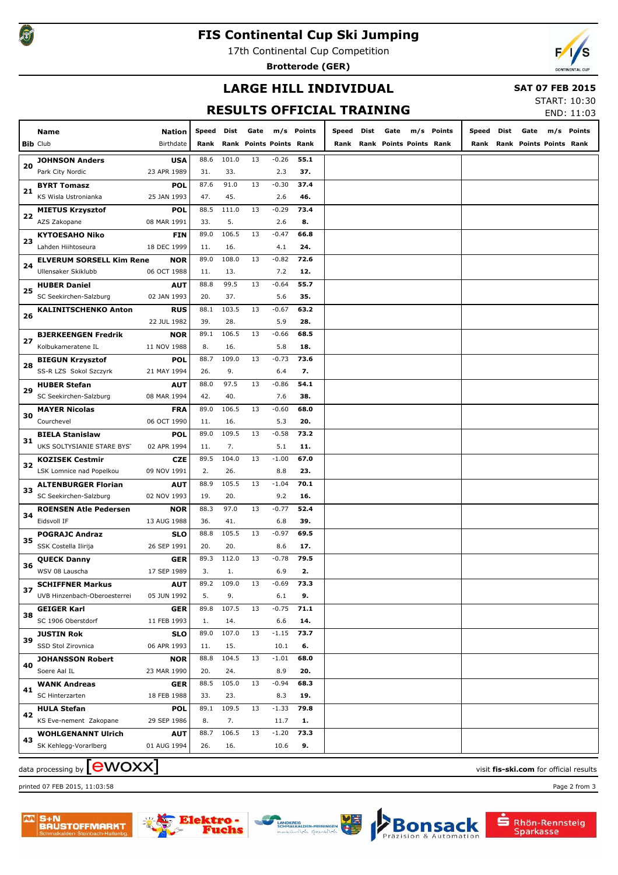## **FIS Continental Cup Ski Jumping**

17th Continental Cup Competition

**Brotterode (GER)**



## **LARGE HILL INDIVIDUAL**

#### **SAT 07 FEB 2015**

# **RESULTS OFFICIAL TRAINING**

START: 10:30 END: 11:03

| TCTUL<br>END: 11:03 |                                           |                           |            |       |                         |         |            |       |      |                         |  |            |       |      |                              |  |            |
|---------------------|-------------------------------------------|---------------------------|------------|-------|-------------------------|---------|------------|-------|------|-------------------------|--|------------|-------|------|------------------------------|--|------------|
|                     | Name                                      | <b>Nation</b>             | Speed Dist |       | Gate                    |         | m/s Points | Speed | Dist | Gate                    |  | m/s Points | Speed | Dist | Gate                         |  | m/s Points |
|                     | <b>Bib Club</b>                           | Birthdate                 | Rank       |       | Rank Points Points Rank |         |            | Rank  |      | Rank Points Points Rank |  |            |       |      | Rank Rank Points Points Rank |  |            |
|                     |                                           |                           | 88.6       | 101.0 | 13                      | $-0.26$ | 55.1       |       |      |                         |  |            |       |      |                              |  |            |
| 20                  | <b>JOHNSON Anders</b><br>Park City Nordic | <b>USA</b><br>23 APR 1989 | 31.        | 33.   |                         | 2.3     | 37.        |       |      |                         |  |            |       |      |                              |  |            |
|                     | <b>BYRT Tomasz</b>                        | <b>POL</b>                | 87.6       | 91.0  | 13                      | $-0.30$ | 37.4       |       |      |                         |  |            |       |      |                              |  |            |
| 21                  | KS Wisla Ustronianka                      | 25 JAN 1993               | 47.        | 45.   |                         | 2.6     | 46.        |       |      |                         |  |            |       |      |                              |  |            |
|                     | <b>MIETUS Krzysztof</b>                   | <b>POL</b>                | 88.5       | 111.0 | 13                      | $-0.29$ | 73.4       |       |      |                         |  |            |       |      |                              |  |            |
| 22                  | AZS Zakopane                              | 08 MAR 1991               | 33.        | 5.    |                         | 2.6     | 8.         |       |      |                         |  |            |       |      |                              |  |            |
|                     | <b>KYTOESAHO Niko</b>                     | <b>FIN</b>                | 89.0       | 106.5 | 13                      | $-0.47$ | 66.8       |       |      |                         |  |            |       |      |                              |  |            |
| 23                  | Lahden Hiihtoseura                        | 18 DEC 1999               | 11.        | 16.   |                         | 4.1     | 24.        |       |      |                         |  |            |       |      |                              |  |            |
|                     | <b>ELVERUM SORSELL Kim Rene</b>           | <b>NOR</b>                | 89.0       | 108.0 | 13                      | $-0.82$ | 72.6       |       |      |                         |  |            |       |      |                              |  |            |
| 24                  | Ullensaker Skiklubb                       | 06 OCT 1988               | 11.        | 13.   |                         | 7.2     | 12.        |       |      |                         |  |            |       |      |                              |  |            |
|                     | <b>HUBER Daniel</b>                       | <b>AUT</b>                | 88.8       | 99.5  | 13                      | $-0.64$ | 55.7       |       |      |                         |  |            |       |      |                              |  |            |
| 25                  | SC Seekirchen-Salzburg                    | 02 JAN 1993               | 20.        | 37.   |                         | 5.6     | 35.        |       |      |                         |  |            |       |      |                              |  |            |
|                     | <b>KALINITSCHENKO Anton</b>               | <b>RUS</b>                | 88.1       | 103.5 | 13                      | $-0.67$ | 63.2       |       |      |                         |  |            |       |      |                              |  |            |
| 26                  |                                           | 22 JUL 1982               | 39.        | 28.   |                         | 5.9     | 28.        |       |      |                         |  |            |       |      |                              |  |            |
|                     | <b>BJERKEENGEN Fredrik</b>                | <b>NOR</b>                | 89.1       | 106.5 | 13                      | $-0.66$ | 68.5       |       |      |                         |  |            |       |      |                              |  |            |
| 27                  | Kolbukameratene IL                        | 11 NOV 1988               | 8.         | 16.   |                         | 5.8     | 18.        |       |      |                         |  |            |       |      |                              |  |            |
|                     | <b>BIEGUN Krzysztof</b>                   | <b>POL</b>                | 88.7       | 109.0 | 13                      | $-0.73$ | 73.6       |       |      |                         |  |            |       |      |                              |  |            |
| 28                  | SS-R LZS Sokol Szczyrk                    | 21 MAY 1994               | 26.        | 9.    |                         | 6.4     | 7.         |       |      |                         |  |            |       |      |                              |  |            |
|                     | <b>HUBER Stefan</b>                       | <b>AUT</b>                | 88.0       | 97.5  | 13                      | $-0.86$ | 54.1       |       |      |                         |  |            |       |      |                              |  |            |
| 29                  | SC Seekirchen-Salzburg                    | 08 MAR 1994               | 42.        | 40.   |                         | 7.6     | 38.        |       |      |                         |  |            |       |      |                              |  |            |
|                     | <b>MAYER Nicolas</b>                      | <b>FRA</b>                | 89.0       | 106.5 | 13                      | $-0.60$ | 68.0       |       |      |                         |  |            |       |      |                              |  |            |
| 30                  | Courchevel                                | 06 OCT 1990               | 11.        | 16.   |                         | 5.3     | 20.        |       |      |                         |  |            |       |      |                              |  |            |
|                     | <b>BIELA Stanislaw</b>                    | <b>POL</b>                | 89.0       | 109.5 | 13                      | $-0.58$ | 73.2       |       |      |                         |  |            |       |      |                              |  |            |
| 31                  | UKS SOLTYSIANIE STARE BYST                | 02 APR 1994               | 11.        | 7.    |                         | 5.1     | 11.        |       |      |                         |  |            |       |      |                              |  |            |
|                     | <b>KOZISEK Cestmir</b>                    | <b>CZE</b>                | 89.5       | 104.0 | 13                      | $-1.00$ | 67.0       |       |      |                         |  |            |       |      |                              |  |            |
| 32                  | LSK Lomnice nad Popelkou                  | 09 NOV 1991               | 2.         | 26.   |                         | 8.8     | 23.        |       |      |                         |  |            |       |      |                              |  |            |
|                     | <b>ALTENBURGER Florian</b>                | <b>AUT</b>                | 88.9       | 105.5 | 13                      | $-1.04$ | 70.1       |       |      |                         |  |            |       |      |                              |  |            |
| 33                  | SC Seekirchen-Salzburg                    | 02 NOV 1993               | 19.        | 20.   |                         | 9.2     | 16.        |       |      |                         |  |            |       |      |                              |  |            |
|                     | <b>ROENSEN Atle Pedersen</b>              | <b>NOR</b>                | 88.3       | 97.0  | 13                      | $-0.77$ | 52.4       |       |      |                         |  |            |       |      |                              |  |            |
| 34                  | Eidsvoll IF                               | 13 AUG 1988               | 36.        | 41.   |                         | 6.8     | 39.        |       |      |                         |  |            |       |      |                              |  |            |
|                     | <b>POGRAJC Andraz</b>                     | <b>SLO</b>                | 88.8       | 105.5 | 13                      | $-0.97$ | 69.5       |       |      |                         |  |            |       |      |                              |  |            |
| 35                  | SSK Costella Ilirija                      | 26 SEP 1991               | 20.        | 20.   |                         | 8.6     | 17.        |       |      |                         |  |            |       |      |                              |  |            |
|                     | <b>QUECK Danny</b>                        | GER                       | 89.3       | 112.0 | 13                      | $-0.78$ | 79.5       |       |      |                         |  |            |       |      |                              |  |            |
| 36                  | WSV 08 Lauscha                            | 17 SEP 1989               | 3.         | 1.    |                         | 6.9     | 2.         |       |      |                         |  |            |       |      |                              |  |            |
|                     | <b>SCHIFFNER Markus</b>                   | <b>AUT</b>                | 89.2       | 109.0 | 13                      | $-0.69$ | 73.3       |       |      |                         |  |            |       |      |                              |  |            |
| 37                  | UVB Hinzenbach-Oberoesterrei              | 05 JUN 1992               | 5.         | 9.    |                         | 6.1     | 9.         |       |      |                         |  |            |       |      |                              |  |            |
|                     | <b>GEIGER Karl</b>                        | <b>GER</b>                | 89.8       | 107.5 | 13                      | $-0.75$ | 71.1       |       |      |                         |  |            |       |      |                              |  |            |
| 38                  | SC 1906 Oberstdorf                        | 11 FEB 1993               | 1.         | 14.   |                         | 6.6     | 14.        |       |      |                         |  |            |       |      |                              |  |            |
|                     | <b>JUSTIN Rok</b>                         | <b>SLO</b>                | 89.0       | 107.0 | 13                      | $-1.15$ | 73.7       |       |      |                         |  |            |       |      |                              |  |            |
| 39                  | SSD Stol Zirovnica                        | 06 APR 1993               | 11.        | 15.   |                         | 10.1    | 6.         |       |      |                         |  |            |       |      |                              |  |            |
|                     | <b>JOHANSSON Robert</b>                   | <b>NOR</b>                | 88.8       | 104.5 | 13                      | $-1.01$ | 68.0       |       |      |                         |  |            |       |      |                              |  |            |
| 40                  | Soere Aal IL                              | 23 MAR 1990               | 20.        | 24.   |                         | 8.9     | 20.        |       |      |                         |  |            |       |      |                              |  |            |
| 41                  | <b>WANK Andreas</b>                       | <b>GER</b>                | 88.5       | 105.0 | 13                      | $-0.94$ | 68.3       |       |      |                         |  |            |       |      |                              |  |            |
|                     | SC Hinterzarten                           | 18 FEB 1988               | 33.        | 23.   |                         | 8.3     | 19.        |       |      |                         |  |            |       |      |                              |  |            |
| 42                  | <b>HULA Stefan</b>                        | <b>POL</b>                | 89.1       | 109.5 | 13                      | $-1.33$ | 79.8       |       |      |                         |  |            |       |      |                              |  |            |
|                     | KS Eve-nement Zakopane                    | 29 SEP 1986               | 8.         | 7.    |                         | 11.7    | 1.         |       |      |                         |  |            |       |      |                              |  |            |
| 43                  | <b>WOHLGENANNT Ulrich</b>                 | <b>AUT</b>                | 88.7       | 106.5 | 13                      | $-1.20$ | 73.3       |       |      |                         |  |            |       |      |                              |  |            |
|                     | SK Kehlegg-Vorarlberg                     | 01 AUG 1994               | 26.        | 16.   |                         | 10.6    | 9.         |       |      |                         |  |            |       |      |                              |  |            |
|                     |                                           |                           |            |       |                         |         |            |       |      |                         |  |            |       |      |                              |  |            |

# data processing by **CWOXX** and  $\overline{C}$  and  $\overline{C}$  and  $\overline{C}$  and  $\overline{C}$  and  $\overline{C}$  and  $\overline{C}$  and  $\overline{C}$  and  $\overline{C}$  and  $\overline{C}$  and  $\overline{C}$  and  $\overline{C}$  and  $\overline{C}$  and  $\overline{C}$  and  $\overline{C}$  and  $\overline{C}$

printed 07 FEB 2015, 11:03:58 Page 2 from 3